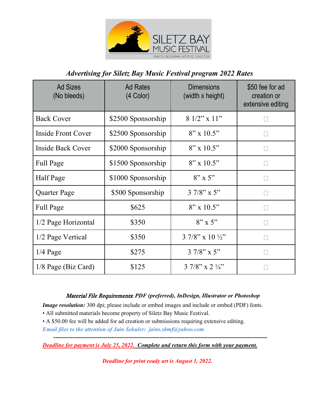

## *Advertising for Siletz Bay Music Festival program 2022 Rates*

| <b>Ad Sizes</b><br>(No bleeds) | <b>Ad Rates</b><br>(4 Color) | <b>Dimensions</b><br>(width x height) | \$50 fee for ad<br>creation or<br>extensive editing |
|--------------------------------|------------------------------|---------------------------------------|-----------------------------------------------------|
| <b>Back Cover</b>              | \$2500 Sponsorship           | $81/2"$ x 11"                         |                                                     |
| Inside Front Cover             | \$2500 Sponsorship           | $8'' \times 10.5''$                   |                                                     |
| <b>Inside Back Cover</b>       | \$2000 Sponsorship           | $8" \times 10.5"$                     |                                                     |
| Full Page                      | \$1500 Sponsorship           | $8" \times 10.5"$                     |                                                     |
| Half Page                      | \$1000 Sponsorship           | $8" \times 5"$                        |                                                     |
| Quarter Page                   | \$500 Sponsorship            | $37/8$ " x 5"                         |                                                     |
| Full Page                      | \$625                        | $8'' \times 10.5''$                   |                                                     |
| 1/2 Page Horizontal            | \$350                        | $8" \times 5"$                        |                                                     |
| 1/2 Page Vertical              | \$350                        | $37/8$ " x 10 $\frac{1}{2}$ "         |                                                     |
| $1/4$ Page                     | \$275                        | $37/8$ " x 5"                         |                                                     |
| $1/8$ Page (Biz Card)          | \$125                        | $37/8$ " x $2\frac{1}{4}$ "           |                                                     |

## Material File Requirements: *PDF (preferred), InDesign, Illustrator or Photoshop*

*Image resolution:* 300 dpi; please include or embed images and include or embed (PDF) fonts.

- All submitted materials become property of Siletz Bay Music Festival.
- A \$50.00 fee will be added for ad creation or submissions requiring extensive editing.

*Email files to the attention of Jain Sekuler: jains.sbmf@yahoo.com* 

*Deadline for payment is July 25, 2022. Complete and return this form with your payment.* 

*Deadline for print ready art is August 1, 2022.*

*---------------------------------------------------------------------------------------------------------------*